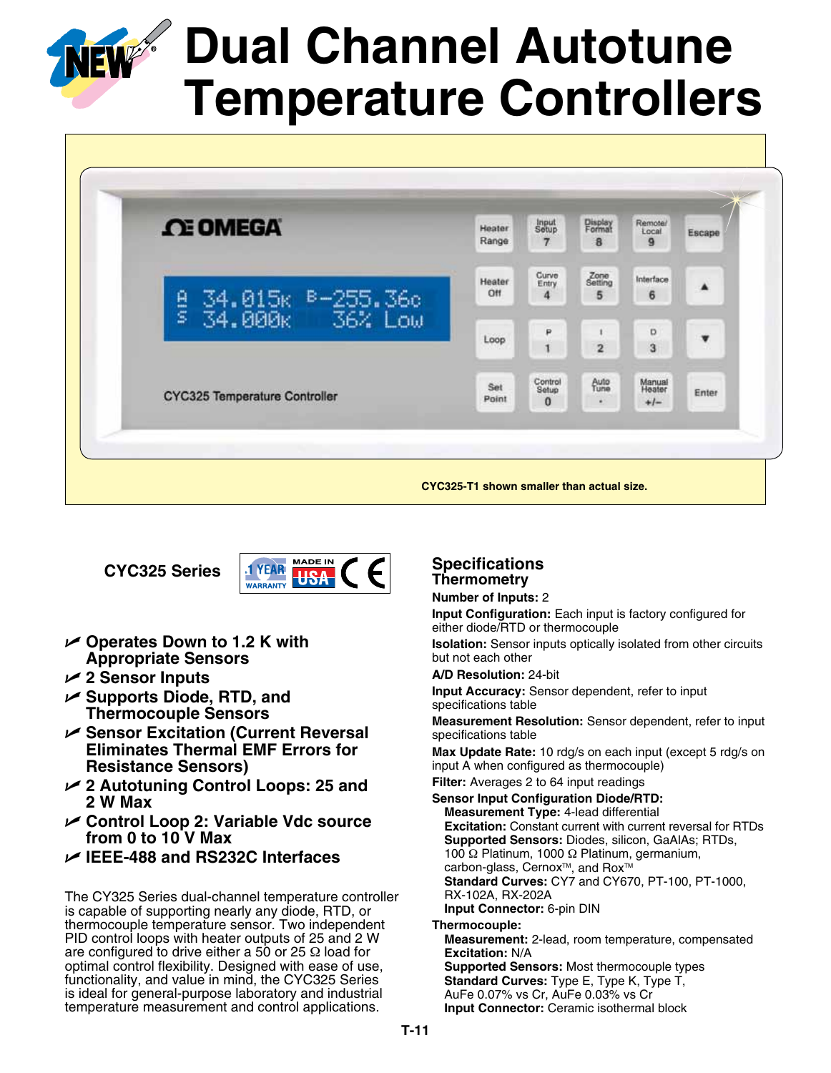

# **Dual Channel Autotune Temperature Controllers**



**CYC325 Series**



- U **Operates Down to 1.2 K with Appropriate Sensors**
- U **2 Sensor Inputs**
- U **Supports Diode, RTD, and Thermocouple Sensors**
- U **Sensor Excitation (Current Reversal Eliminates Thermal EMF Errors for Resistance Sensors)**
- U **2 Autotuning Control Loops: 25 and 2 W Max**
- U **Control Loop 2: Variable Vdc source from 0 to 10 V Max**
- U **IEEE-488 and RS232C Interfaces**

The CY325 Series dual-channel temperature controller is capable of supporting nearly any diode, RTD, or thermocouple temperature sensor. Two independent PID control loops with heater outputs of 25 and 2 W are configured to drive either a 50 or 25  $\Omega$  load for optimal control flexibility. Designed with ease of use, functionality, and value in mind, the CYC325 Series is ideal for general-purpose laboratory and industrial temperature measurement and control applications.

## **Specifications Thermometry Number of Inputs:** 2

**Input Configuration:** Each input is factory configured for either diode/RTD or thermocouple

**Isolation:** Sensor inputs optically isolated from other circuits but not each other

**A/D Resolution:** 24-bit

**Input Accuracy:** Sensor dependent, refer to input specifications table

**Measurement Resolution:** Sensor dependent, refer to input specifications table

**Max Update Rate:** 10 rdg/s on each input (except 5 rdg/s on input A when configured as thermocouple)

**Filter:** Averages 2 to 64 input readings

**Sensor Input Configuration Diode/RTD: Measurement Type:** 4-lead differential **Excitation:** Constant current with current reversal for RTDs **Supported Sensors:** Diodes, silicon, GaAlAs; RTDs, 100 Ω Platinum, 1000 Ω Platinum, germanium, carbon-glass, Cernox<sup>™</sup>, and Rox<sup>™</sup> **Standard Curves:** CY7 and CY670, PT-100, PT-1000, RX-102A, RX-202A **Input Connector:** 6-pin DIN

**Thermocouple:**

**Measurement:** 2-lead, room temperature, compensated **Excitation:** N/A **Supported Sensors:** Most thermocouple types **Standard Curves:** Type E, Type K, Type T, AuFe 0.07% vs Cr, AuFe 0.03% vs Cr **Input Connector:** Ceramic isothermal block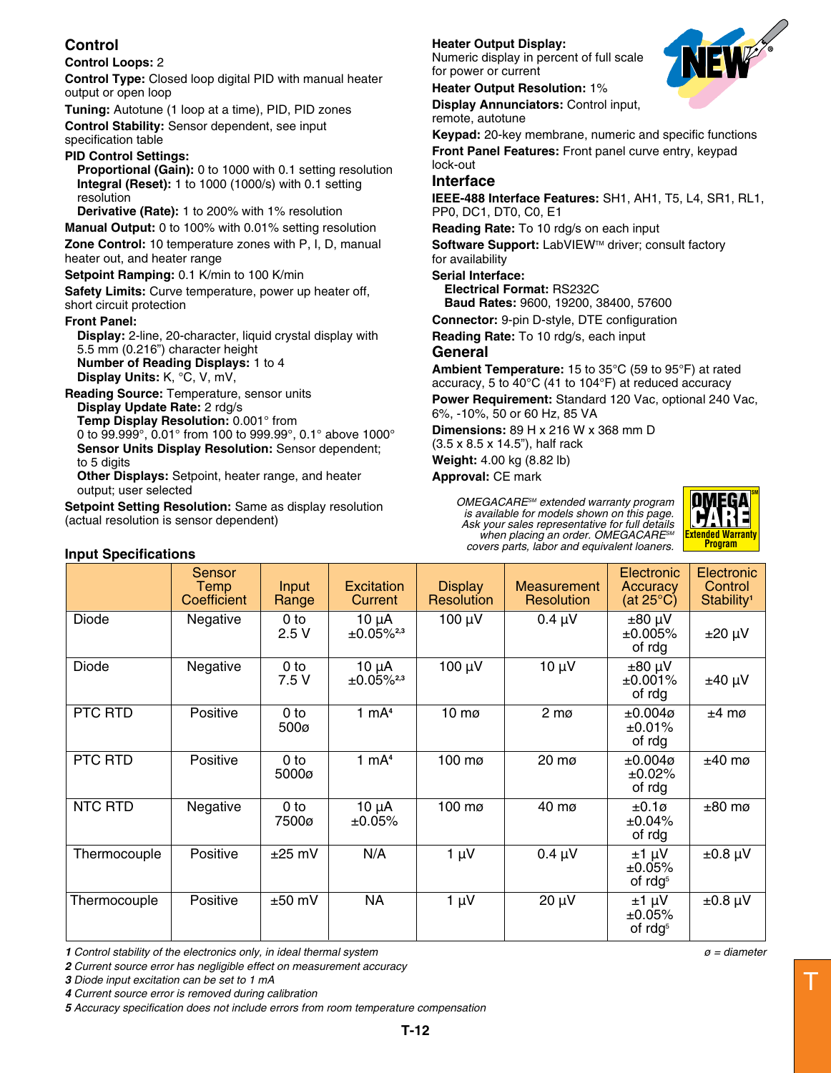## **Control**

## **Control Loops:** 2

**Control Type:** Closed loop digital PID with manual heater output or open loop

**Tuning:** Autotune (1 loop at a time), PID, PID zones **Control Stability:** Sensor dependent, see input specification table

## **PID Control Settings:**

**Proportional (Gain):** 0 to 1000 with 0.1 setting resolution **Integral (Reset):** 1 to 1000 (1000/s) with 0.1 setting resolution

**Derivative (Rate):** 1 to 200% with 1% resolution

**Manual Output:** 0 to 100% with 0.01% setting resolution **Zone Control:** 10 temperature zones with P, I, D, manual heater out, and heater range

## **Setpoint Ramping:** 0.1 K/min to 100 K/min

**Safety Limits:** Curve temperature, power up heater off, short circuit protection

## **Front Panel:**

**Input Specifications**

**Display:** 2-line, 20-character, liquid crystal display with 5.5 mm (0.216") character height **Number of Reading Displays:** 1 to 4 **Display Units:** K, °C, V, mV,

**Reading Source:** Temperature, sensor units **Display Update Rate:** 2 rdg/s **Temp Display Resolution:** 0.001° from 0 to 99.999°, 0.01° from 100 to 999.99°, 0.1° above 1000° **Sensor Units Display Resolution:** Sensor dependent; to 5 digits

**Other Displays:** Setpoint, heater range, and heater output; user selected

**Setpoint Setting Resolution:** Same as display resolution (actual resolution is sensor dependent)

## **Heater Output Display:**

Numeric display in percent of full scale for power or current

## **Heater Output Resolution:** 1%

**Display Annunciators:** Control input, remote, autotune

**Keypad:** 20-key membrane, numeric and specific functions **Front Panel Features:** Front panel curve entry, keypad lock-out

## **Interface**

**IEEE-488 Interface Features:** SH1, AH1, T5, L4, SR1, RL1, PP0, DC1, DT0, C0, E1

**Reading Rate:** To 10 rdg/s on each input

**Software Support: LabVIEW™ driver; consult factory** for availability

## **Serial Interface:**

**Electrical Format:** RS232C **Baud Rates:** 9600, 19200, 38400, 57600

**Connector:** 9-pin D-style, DTE configuration

**Reading Rate:** To 10 rdg/s, each input

## **General**

**Ambient Temperature:** 15 to 35°C (59 to 95°F) at rated accuracy, 5 to 40°C (41 to 104°F) at reduced accuracy **Power Requirement:** Standard 120 Vac, optional 240 Vac, 6%, -10%, 50 or 60 Hz, 85 VA

**Dimensions:** 89 H x 216 W x 368 mm D

(3.5 x 8.5 x 14.5"), half rack

**Weight:** 4.00 kg (8.82 lb)

**Approval:** CE mark

*OMEGACARESM extended warranty program is available for models shown on this page. Ask your sales representative for full details when placing an order. OMEGACARESM covers parts, labor and equivalent loaners.*



|              | <b>Sensor</b><br>Temp<br>Coefficient | Input<br>Range          | <b>Excitation</b><br>Current | <b>Display</b><br>Resolution | Measurement<br>Resolution | Electronic<br>Accuracy<br>(at 25 $\mathrm{^{\circ}C}$ ) | Electronic<br>Control<br>Stability <sup>1</sup> |
|--------------|--------------------------------------|-------------------------|------------------------------|------------------------------|---------------------------|---------------------------------------------------------|-------------------------------------------------|
| Diode        | Negative                             | 0 <sub>to</sub><br>2.5V | 10 µA<br>$±0.05\%^{2,3}$     | 100 µV                       | $0.4 \mu V$               | $±80 \mu V$<br>±0.005%<br>of rdg                        | $±20 \mu V$                                     |
| <b>Diode</b> | Negative                             | $0$ to<br>7.5 V         | 10 µA<br>$\pm 0.05\%^{2,3}$  | 100 µV                       | $10 \mu V$                | $±80 \mu V$<br>$±0.001\%$<br>of rdg                     | $±40 \mu V$                                     |
| PTC RTD      | Positive                             | 0 <sub>to</sub><br>500ø | 1 $mA4$                      | $10 \text{ m}$               | $2 \text{ mg}$            | $±0.004\varnothing$<br>±0.01%<br>of rdg                 | $±4$ mø                                         |
| PTC RTD      | Positive                             | $0$ to<br>5000ø         | 1 $mA4$                      | 100 mø                       | 20 mø                     | $±0.004\varnothing$<br>±0.02%<br>of rdg                 | $±40$ mø                                        |
| NTC RTD      | Negative                             | $0$ to<br>7500ø         | $10 \mu A$<br>±0.05%         | 100 mø                       | 40 mø                     | $±0.1\varnothing$<br>$±0.04\%$<br>of rdg                | $±80$ mø                                        |
| Thermocouple | Positive                             | $±25$ mV                | N/A                          | $1 \mu V$                    | $0.4 \mu V$               | $±1 \mu V$<br>±0.05%<br>of $\text{rdg}^5$               | $±0.8 \mu V$                                    |
| Thermocouple | Positive                             | $±50$ mV                | <b>NA</b>                    | $1 \mu V$                    | $20 \mu V$                | ±1 μV<br>±0.05%<br>of rdg <sup>5</sup>                  | $±0.8 \mu V$                                    |

*1 Control stability of the electronics only, in ideal thermal system ø = diameter*

*2 Current source error has negligible effect on measurement accuracy*

*3 Diode input excitation can be set to 1 mA*

*4 Current source error is removed during calibration*

*5 Accuracy specification does not include errors from room temperature compensation*